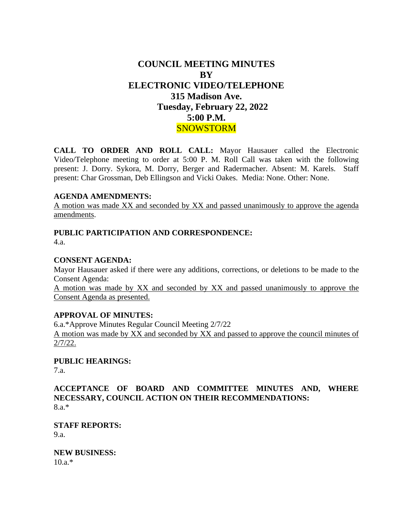# **COUNCIL MEETING MINUTES BY ELECTRONIC VIDEO/TELEPHONE 315 Madison Ave. Tuesday, February 22, 2022 5:00 P.M. SNOWSTORM**

**CALL TO ORDER AND ROLL CALL:** Mayor Hausauer called the Electronic Video/Telephone meeting to order at 5:00 P. M. Roll Call was taken with the following present: J. Dorry. Sykora, M. Dorry, Berger and Radermacher. Absent: M. Karels. Staff present: Char Grossman, Deb Ellingson and Vicki Oakes. Media: None. Other: None.

#### **AGENDA AMENDMENTS:**

A motion was made XX and seconded by XX and passed unanimously to approve the agenda amendments.

#### **PUBLIC PARTICIPATION AND CORRESPONDENCE:** 4.a.

#### **CONSENT AGENDA:**

Mayor Hausauer asked if there were any additions, corrections, or deletions to be made to the Consent Agenda:

A motion was made by XX and seconded by XX and passed unanimously to approve the Consent Agenda as presented.

#### **APPROVAL OF MINUTES:**

6.a.\*Approve Minutes Regular Council Meeting 2/7/22 A motion was made by XX and seconded by XX and passed to approve the council minutes of 2/7/22.

### **PUBLIC HEARINGS:**

7.a.

**ACCEPTANCE OF BOARD AND COMMITTEE MINUTES AND, WHERE NECESSARY, COUNCIL ACTION ON THEIR RECOMMENDATIONS:** 8.a.\*

**STAFF REPORTS:** 9.a.

**NEW BUSINESS:** 10.a.\*